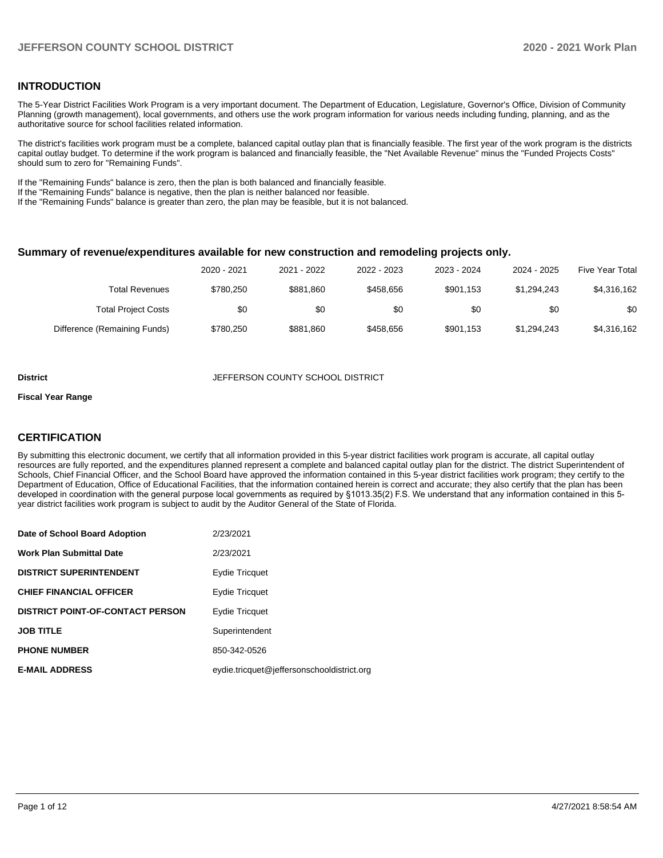## **INTRODUCTION**

The 5-Year District Facilities Work Program is a very important document. The Department of Education, Legislature, Governor's Office, Division of Community Planning (growth management), local governments, and others use the work program information for various needs including funding, planning, and as the authoritative source for school facilities related information.

The district's facilities work program must be a complete, balanced capital outlay plan that is financially feasible. The first year of the work program is the districts capital outlay budget. To determine if the work program is balanced and financially feasible, the "Net Available Revenue" minus the "Funded Projects Costs" should sum to zero for "Remaining Funds".

If the "Remaining Funds" balance is zero, then the plan is both balanced and financially feasible.

If the "Remaining Funds" balance is negative, then the plan is neither balanced nor feasible.

If the "Remaining Funds" balance is greater than zero, the plan may be feasible, but it is not balanced.

#### **Summary of revenue/expenditures available for new construction and remodeling projects only.**

| Five Year Total | 2024 - 2025 | 2023 - 2024 | 2022 - 2023 | 2021 - 2022 | 2020 - 2021 |                              |
|-----------------|-------------|-------------|-------------|-------------|-------------|------------------------------|
| \$4,316,162     | \$1.294.243 | \$901.153   | \$458.656   | \$881,860   | \$780.250   | Total Revenues               |
| \$0             | \$0         | \$0         | \$0         | \$0         | \$0         | <b>Total Project Costs</b>   |
| \$4,316,162     | \$1,294,243 | \$901.153   | \$458.656   | \$881,860   | \$780,250   | Difference (Remaining Funds) |

#### **District COUNTY SCHOOL DISTRICT** JEFFERSON COUNTY SCHOOL DISTRICT

#### **Fiscal Year Range**

#### **CERTIFICATION**

By submitting this electronic document, we certify that all information provided in this 5-year district facilities work program is accurate, all capital outlay resources are fully reported, and the expenditures planned represent a complete and balanced capital outlay plan for the district. The district Superintendent of Schools, Chief Financial Officer, and the School Board have approved the information contained in this 5-year district facilities work program; they certify to the Department of Education, Office of Educational Facilities, that the information contained herein is correct and accurate; they also certify that the plan has been developed in coordination with the general purpose local governments as required by §1013.35(2) F.S. We understand that any information contained in this 5 year district facilities work program is subject to audit by the Auditor General of the State of Florida.

| Date of School Board Adoption           | 2/23/2021                                  |
|-----------------------------------------|--------------------------------------------|
| <b>Work Plan Submittal Date</b>         | 2/23/2021                                  |
| <b>DISTRICT SUPERINTENDENT</b>          | Eydie Tricquet                             |
| <b>CHIEF FINANCIAL OFFICER</b>          | Eydie Tricquet                             |
| <b>DISTRICT POINT-OF-CONTACT PERSON</b> | Eydie Tricquet                             |
| <b>JOB TITLE</b>                        | Superintendent                             |
| <b>PHONE NUMBER</b>                     | 850-342-0526                               |
| <b>E-MAIL ADDRESS</b>                   | eydie.tricquet@jeffersonschooldistrict.org |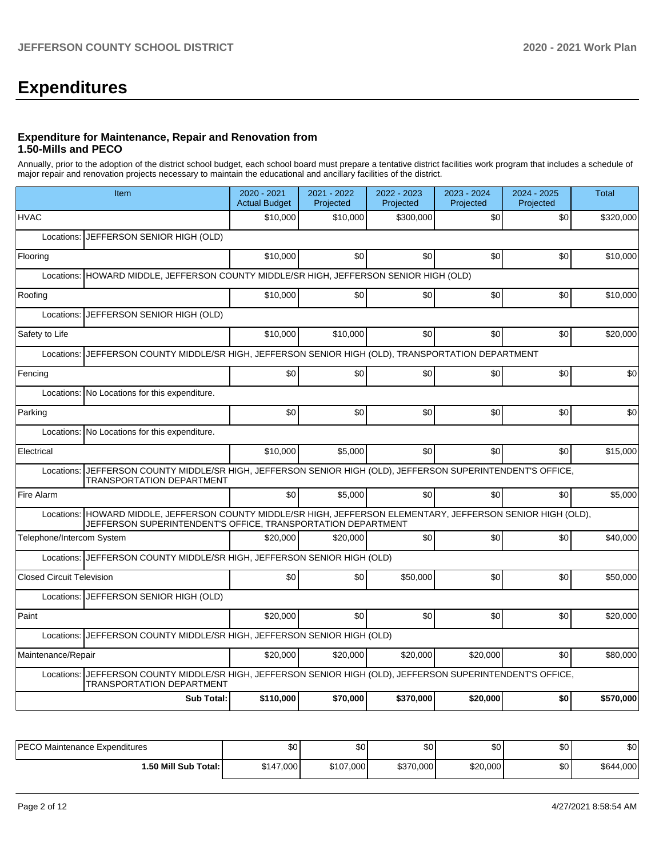# **Expenditures**

### **Expenditure for Maintenance, Repair and Renovation from 1.50-Mills and PECO**

Annually, prior to the adoption of the district school budget, each school board must prepare a tentative district facilities work program that includes a schedule of major repair and renovation projects necessary to maintain the educational and ancillary facilities of the district.

| Item                                                                                                                                                                             | 2020 - 2021<br><b>Actual Budget</b> | 2021 - 2022<br>Projected | 2022 - 2023<br>Projected | 2023 - 2024<br>Projected | 2024 - 2025<br>Projected | <b>Total</b> |  |  |  |  |
|----------------------------------------------------------------------------------------------------------------------------------------------------------------------------------|-------------------------------------|--------------------------|--------------------------|--------------------------|--------------------------|--------------|--|--|--|--|
| <b>HVAC</b>                                                                                                                                                                      | \$10,000                            | \$10,000                 | \$300,000                | \$0                      | \$0                      | \$320,000    |  |  |  |  |
| JEFFERSON SENIOR HIGH (OLD)<br>Locations:                                                                                                                                        |                                     |                          |                          |                          |                          |              |  |  |  |  |
| Flooring                                                                                                                                                                         | \$10,000                            | \$0                      | \$0                      | \$0 <sub>1</sub>         | \$0                      | \$10,000     |  |  |  |  |
| Locations: HOWARD MIDDLE, JEFFERSON COUNTY MIDDLE/SR HIGH, JEFFERSON SENIOR HIGH (OLD)                                                                                           |                                     |                          |                          |                          |                          |              |  |  |  |  |
| Roofing                                                                                                                                                                          | \$10,000                            | \$0                      | \$0                      | \$0                      | \$0                      | \$10,000     |  |  |  |  |
| JEFFERSON SENIOR HIGH (OLD)<br>Locations:                                                                                                                                        |                                     |                          |                          |                          |                          |              |  |  |  |  |
| Safety to Life                                                                                                                                                                   | \$10,000                            | \$10,000                 | \$0                      | \$0 <sub>1</sub>         | \$0                      | \$20,000     |  |  |  |  |
| JEFFERSON COUNTY MIDDLE/SR HIGH, JEFFERSON SENIOR HIGH (OLD), TRANSPORTATION DEPARTMENT<br>Locations:                                                                            |                                     |                          |                          |                          |                          |              |  |  |  |  |
| Fencing                                                                                                                                                                          | \$0                                 | \$0                      | \$0                      | \$0                      | \$0                      | \$0          |  |  |  |  |
| Locations:<br>No Locations for this expenditure.                                                                                                                                 |                                     |                          |                          |                          |                          |              |  |  |  |  |
| Parking                                                                                                                                                                          | \$0                                 | \$0                      | \$0                      | \$0 <sub>1</sub>         | \$0                      | \$0          |  |  |  |  |
| Locations: No Locations for this expenditure.                                                                                                                                    |                                     |                          |                          |                          |                          |              |  |  |  |  |
| Electrical                                                                                                                                                                       | \$10,000                            | \$5,000                  | \$0                      | \$0 <sub>1</sub>         | \$0                      | \$15,000     |  |  |  |  |
| JEFFERSON COUNTY MIDDLE/SR HIGH, JEFFERSON SENIOR HIGH (OLD), JEFFERSON SUPERINTENDENT'S OFFICE,<br>Locations:<br><b>TRANSPORTATION DEPARTMENT</b>                               |                                     |                          |                          |                          |                          |              |  |  |  |  |
| Fire Alarm                                                                                                                                                                       | \$0                                 | \$5,000                  | \$0                      | \$0 <sub>1</sub>         | \$0                      | \$5.000      |  |  |  |  |
| HOWARD MIDDLE, JEFFERSON COUNTY MIDDLE/SR HIGH, JEFFERSON ELEMENTARY, JEFFERSON SENIOR HIGH (OLD),<br>Locations:<br>JEFFERSON SUPERINTENDENT'S OFFICE, TRANSPORTATION DEPARTMENT |                                     |                          |                          |                          |                          |              |  |  |  |  |
| Telephone/Intercom System                                                                                                                                                        | \$20,000                            | \$20,000                 | \$0                      | \$0                      | \$0                      | \$40,000     |  |  |  |  |
| Locations: JEFFERSON COUNTY MIDDLE/SR HIGH, JEFFERSON SENIOR HIGH (OLD)                                                                                                          |                                     |                          |                          |                          |                          |              |  |  |  |  |
| <b>Closed Circuit Television</b>                                                                                                                                                 | \$0                                 | \$0                      | \$50,000                 | \$0                      | \$0                      | \$50,000     |  |  |  |  |
| Locations: JEFFERSON SENIOR HIGH (OLD)                                                                                                                                           |                                     |                          |                          |                          |                          |              |  |  |  |  |
| Paint                                                                                                                                                                            | \$20,000                            | \$0                      | \$0                      | \$0                      | \$0                      | \$20,000     |  |  |  |  |
| JEFFERSON COUNTY MIDDLE/SR HIGH, JEFFERSON SENIOR HIGH (OLD)<br>Locations:                                                                                                       |                                     |                          |                          |                          |                          |              |  |  |  |  |
| Maintenance/Repair                                                                                                                                                               | \$20,000                            | \$20,000                 | \$20,000                 | \$20,000                 | \$0                      | \$80,000     |  |  |  |  |
| JEFFERSON COUNTY MIDDLE/SR HIGH, JEFFERSON SENIOR HIGH (OLD), JEFFERSON SUPERINTENDENT'S OFFICE,<br>Locations:<br><b>TRANSPORTATION DEPARTMENT</b>                               |                                     |                          |                          |                          |                          |              |  |  |  |  |
| Sub Total:                                                                                                                                                                       | \$110,000                           | \$70.000                 | \$370,000                | \$20,000                 | \$0                      | \$570,000    |  |  |  |  |

| <b>IPECO Maintenance Expenditures</b> | \$0       | \$0 <sub>1</sub> | \$0       | ا 30     | \$0 | \$0       |
|---------------------------------------|-----------|------------------|-----------|----------|-----|-----------|
| 1.50 Mill Sub Total:                  | \$147,000 | \$107,000        | \$370,000 | \$20,000 | \$0 | \$644,000 |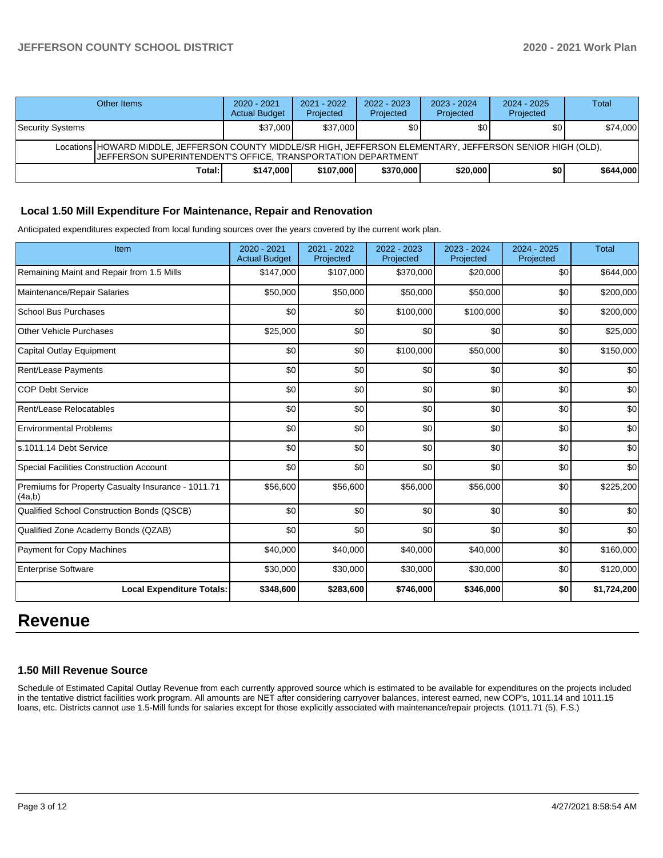## **JEFFERSON COUNTY SCHOOL DISTRICT 2020 - 2021 Work Plan**

| Other Items                                                                                                                                                                          | 2020 - 2021<br><b>Actual Budget</b> | 2021 - 2022<br>Projected | 2022 - 2023<br>Projected | 2023 - 2024<br>Projected | $2024 - 2025$<br>Projected | Total     |  |  |  |
|--------------------------------------------------------------------------------------------------------------------------------------------------------------------------------------|-------------------------------------|--------------------------|--------------------------|--------------------------|----------------------------|-----------|--|--|--|
| Security Systems                                                                                                                                                                     | \$37,000                            | \$37,000                 | \$0                      | \$0                      | \$0                        | \$74,000  |  |  |  |
| Locations HOWARD MIDDLE, JEFFERSON COUNTY MIDDLE/SR HIGH, JEFFERSON ELEMENTARY, JEFFERSON SENIOR HIGH (OLD),<br><b>IJEFFERSON SUPERINTENDENT'S OFFICE, TRANSPORTATION DEPARTMENT</b> |                                     |                          |                          |                          |                            |           |  |  |  |
| Total: I                                                                                                                                                                             | \$147,000                           | \$107,000                | \$370,000                | \$20,000                 | \$O                        | \$644,000 |  |  |  |

#### **Local 1.50 Mill Expenditure For Maintenance, Repair and Renovation**

Anticipated expenditures expected from local funding sources over the years covered by the current work plan.

| Item                                                         | 2020 - 2021<br><b>Actual Budget</b> | 2021 - 2022<br>Projected | 2022 - 2023<br>Projected | 2023 - 2024<br>Projected | 2024 - 2025<br>Projected | <b>Total</b> |
|--------------------------------------------------------------|-------------------------------------|--------------------------|--------------------------|--------------------------|--------------------------|--------------|
| Remaining Maint and Repair from 1.5 Mills                    | \$147,000                           | \$107,000                | \$370,000                | \$20,000                 | \$0                      | \$644,000    |
| Maintenance/Repair Salaries                                  | \$50,000                            | \$50,000                 | \$50,000                 | \$50,000                 | \$0                      | \$200,000    |
| <b>School Bus Purchases</b>                                  | \$0                                 | \$0                      | \$100,000                | \$100,000                | \$0                      | \$200,000    |
| <b>Other Vehicle Purchases</b>                               | \$25,000                            | \$0                      | \$0                      | \$0                      | \$0                      | \$25,000     |
| <b>Capital Outlay Equipment</b>                              | \$0                                 | \$0                      | \$100,000                | \$50,000                 | \$0                      | \$150,000    |
| <b>Rent/Lease Payments</b>                                   | \$0                                 | \$0                      | \$0                      | \$0                      | \$0                      | \$0          |
| <b>COP Debt Service</b>                                      | \$0                                 | \$0                      | \$0                      | \$0                      | \$0                      | \$0          |
| Rent/Lease Relocatables                                      | \$0                                 | \$0                      | \$0                      | \$0                      | \$0                      | \$0          |
| <b>Environmental Problems</b>                                | \$0                                 | \$0                      | \$0                      | \$0                      | \$0                      | \$0          |
| s.1011.14 Debt Service                                       | \$0                                 | \$0                      | \$0                      | \$0                      | \$0                      | \$0          |
| <b>Special Facilities Construction Account</b>               | \$0                                 | \$0                      | \$0                      | \$0                      | \$0                      | \$0          |
| Premiums for Property Casualty Insurance - 1011.71<br>(4a,b) | \$56,600                            | \$56,600                 | \$56,000                 | \$56,000                 | \$0                      | \$225,200    |
| Qualified School Construction Bonds (QSCB)                   | \$0                                 | \$0                      | \$0                      | \$0                      | \$0                      | \$0          |
| Qualified Zone Academy Bonds (QZAB)                          | \$0                                 | \$0                      | \$0                      | \$0                      | \$0                      | \$0          |
| Payment for Copy Machines                                    | \$40,000                            | \$40,000                 | \$40,000                 | \$40,000                 | \$0                      | \$160,000    |
| <b>Enterprise Software</b>                                   | \$30,000                            | \$30,000                 | \$30,000                 | \$30,000                 | \$0                      | \$120,000    |
| <b>Local Expenditure Totals:</b>                             | \$348,600                           | \$283,600                | \$746,000                | \$346,000                | \$0                      | \$1,724,200  |

## **Revenue**

#### **1.50 Mill Revenue Source**

Schedule of Estimated Capital Outlay Revenue from each currently approved source which is estimated to be available for expenditures on the projects included in the tentative district facilities work program. All amounts are NET after considering carryover balances, interest earned, new COP's, 1011.14 and 1011.15 loans, etc. Districts cannot use 1.5-Mill funds for salaries except for those explicitly associated with maintenance/repair projects. (1011.71 (5), F.S.)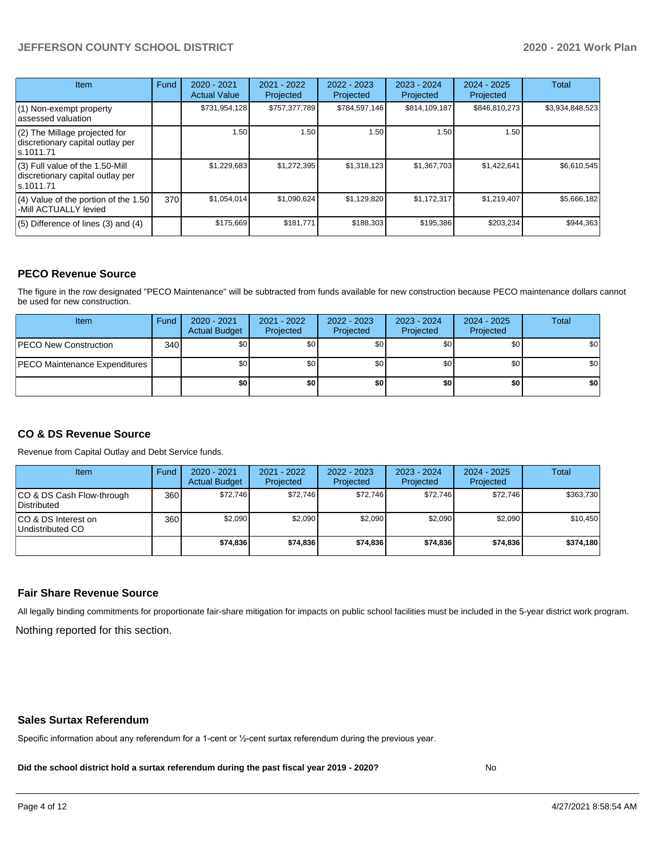## **JEFFERSON COUNTY SCHOOL DISTRICT 2020 - 2021 Work Plan**

| <b>Item</b>                                                                       | Fund | $2020 - 2021$<br><b>Actual Value</b> | $2021 - 2022$<br>Projected | $2022 - 2023$<br>Projected | $2023 - 2024$<br>Projected | $2024 - 2025$<br>Projected | Total           |
|-----------------------------------------------------------------------------------|------|--------------------------------------|----------------------------|----------------------------|----------------------------|----------------------------|-----------------|
| (1) Non-exempt property<br>lassessed valuation                                    |      | \$731,954,128                        | \$757,377,789              | \$784,597,146              | \$814,109,187              | \$846.810.273              | \$3,934,848,523 |
| $(2)$ The Millage projected for<br>discretionary capital outlay per<br>ls.1011.71 |      | 1.50                                 | 1.50                       | 1.50                       | 1.50                       | 1.50                       |                 |
| (3) Full value of the 1.50-Mill<br>discretionary capital outlay per<br>ls.1011.71 |      | \$1,229,683                          | \$1,272,395                | \$1,318,123                | \$1,367,703                | \$1,422,641                | \$6,610,545     |
| $(4)$ Value of the portion of the 1.50<br>-Mill ACTUALLY levied                   | 370I | \$1,054,014                          | \$1,090,624                | \$1,129,820                | \$1,172,317                | \$1,219,407                | \$5,666,182     |
| $(5)$ Difference of lines $(3)$ and $(4)$                                         |      | \$175,669                            | \$181.771                  | \$188,303                  | \$195,386                  | \$203,234                  | \$944.363       |

## **PECO Revenue Source**

The figure in the row designated "PECO Maintenance" will be subtracted from funds available for new construction because PECO maintenance dollars cannot be used for new construction.

| Item                                 | Fund | $2020 - 2021$<br><b>Actual Budget</b> | 2021 - 2022<br>Projected | 2022 - 2023<br>Projected | 2023 - 2024<br>Projected | 2024 - 2025<br>Projected | Total            |
|--------------------------------------|------|---------------------------------------|--------------------------|--------------------------|--------------------------|--------------------------|------------------|
| <b>PECO New Construction</b>         | 340  | \$0                                   | \$0 <sub>1</sub>         | \$0                      | \$0 <sub>0</sub>         | \$0 <sub>1</sub>         | \$0 <sub>1</sub> |
| <b>PECO Maintenance Expenditures</b> |      | ا 30                                  | \$٥١                     | \$0                      | \$0 <sub>1</sub>         | \$0                      | \$0              |
|                                      |      | \$0                                   | \$0                      | \$0                      | \$0                      | \$0                      | \$0              |

## **CO & DS Revenue Source**

Revenue from Capital Outlay and Debt Service funds.

| Item                                      | Fund  | 2020 - 2021<br><b>Actual Budget</b> | 2021 - 2022<br>Projected | 2022 - 2023<br>Projected | $2023 - 2024$<br>Projected | $2024 - 2025$<br>Projected | <b>Total</b> |
|-------------------------------------------|-------|-------------------------------------|--------------------------|--------------------------|----------------------------|----------------------------|--------------|
| ICO & DS Cash Flow-through<br>Distributed | 360 l | \$72.746                            | \$72.746                 | \$72.746                 | \$72.746                   | \$72,746                   | \$363.730    |
| ICO & DS Interest on<br>Undistributed CO  | 360   | \$2.090                             | \$2.090                  | \$2.090                  | \$2.090                    | \$2,090                    | \$10.450     |
|                                           |       | \$74.836                            | \$74.836                 | \$74.836                 | \$74,836                   | \$74.836                   | \$374,180    |

#### **Fair Share Revenue Source**

Nothing reported for this section. All legally binding commitments for proportionate fair-share mitigation for impacts on public school facilities must be included in the 5-year district work program.

#### **Sales Surtax Referendum**

Specific information about any referendum for a 1-cent or ½-cent surtax referendum during the previous year.

**Did the school district hold a surtax referendum during the past fiscal year 2019 - 2020?**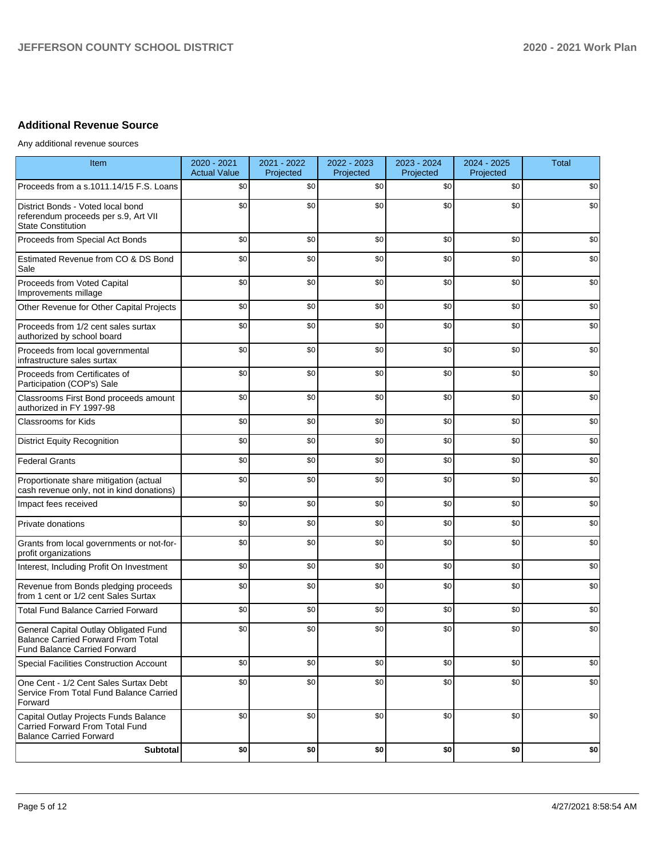## **Additional Revenue Source**

Any additional revenue sources

| Item                                                                                                                      | 2020 - 2021<br><b>Actual Value</b> | 2021 - 2022<br>Projected | 2022 - 2023<br>Projected | 2023 - 2024<br>Projected | 2024 - 2025<br>Projected | <b>Total</b> |
|---------------------------------------------------------------------------------------------------------------------------|------------------------------------|--------------------------|--------------------------|--------------------------|--------------------------|--------------|
| Proceeds from a s.1011.14/15 F.S. Loans                                                                                   | \$0                                | \$0                      | \$0                      | \$0                      | \$0                      | \$0          |
| District Bonds - Voted local bond<br>referendum proceeds per s.9, Art VII<br><b>State Constitution</b>                    | \$0                                | \$0                      | \$0                      | \$0                      | \$0                      | \$0          |
| Proceeds from Special Act Bonds                                                                                           | \$0                                | \$0                      | \$0                      | \$0                      | \$0                      | \$0          |
| Estimated Revenue from CO & DS Bond<br>Sale                                                                               | \$0                                | \$0                      | \$0                      | \$0                      | \$0                      | \$0          |
| Proceeds from Voted Capital<br>Improvements millage                                                                       | \$0                                | \$0                      | \$0                      | \$0                      | \$0                      | \$0          |
| Other Revenue for Other Capital Projects                                                                                  | \$0                                | \$0                      | \$0                      | \$0                      | \$0                      | \$0          |
| Proceeds from 1/2 cent sales surtax<br>authorized by school board                                                         | \$0                                | \$0                      | \$0                      | \$0                      | \$0                      | \$0          |
| Proceeds from local governmental<br>infrastructure sales surtax                                                           | \$0                                | \$0                      | \$0                      | \$0                      | \$0                      | \$0          |
| Proceeds from Certificates of<br>Participation (COP's) Sale                                                               | \$0                                | \$0                      | \$0                      | \$0                      | \$0                      | \$0          |
| Classrooms First Bond proceeds amount<br>authorized in FY 1997-98                                                         | \$0                                | \$0                      | \$0                      | \$0                      | \$0                      | \$0          |
| <b>Classrooms for Kids</b>                                                                                                | \$0                                | \$0                      | \$0                      | \$0                      | \$0                      | \$0          |
| <b>District Equity Recognition</b>                                                                                        | \$0                                | \$0                      | \$0                      | \$0                      | \$0                      | \$0          |
| <b>Federal Grants</b>                                                                                                     | \$0                                | \$0                      | \$0                      | \$0                      | \$0                      | \$0          |
| Proportionate share mitigation (actual<br>cash revenue only, not in kind donations)                                       | \$0                                | \$0                      | \$0                      | \$0                      | \$0                      | \$0          |
| Impact fees received                                                                                                      | \$0                                | \$0                      | \$0                      | \$0                      | \$0                      | \$0          |
| Private donations                                                                                                         | \$0                                | \$0                      | \$0                      | \$0                      | \$0                      | \$0          |
| Grants from local governments or not-for-<br>profit organizations                                                         | \$0                                | \$0                      | \$0                      | \$0                      | \$0                      | \$0          |
| Interest, Including Profit On Investment                                                                                  | \$0                                | \$0                      | \$0                      | \$0                      | \$0                      | \$0          |
| Revenue from Bonds pledging proceeds<br>from 1 cent or 1/2 cent Sales Surtax                                              | \$0                                | \$0                      | \$0                      | \$0                      | \$0                      | \$0          |
| <b>Total Fund Balance Carried Forward</b>                                                                                 | \$0                                | \$0                      | \$0                      | \$0                      | \$0                      | \$0          |
| General Capital Outlay Obligated Fund<br><b>Balance Carried Forward From Total</b><br><b>Fund Balance Carried Forward</b> | \$0                                | \$0                      | \$0                      | \$0                      | \$0                      | \$0          |
| Special Facilities Construction Account                                                                                   | \$0                                | \$0                      | \$0                      | \$0                      | \$0                      | \$0          |
| One Cent - 1/2 Cent Sales Surtax Debt<br>Service From Total Fund Balance Carried<br>Forward                               | \$0                                | \$0                      | \$0                      | \$0                      | \$0                      | \$0          |
| Capital Outlay Projects Funds Balance<br>Carried Forward From Total Fund<br><b>Balance Carried Forward</b>                | \$0                                | \$0                      | \$0                      | \$0                      | \$0                      | \$0          |
| Subtotal                                                                                                                  | \$0                                | \$0                      | \$0                      | \$0                      | \$0                      | \$0          |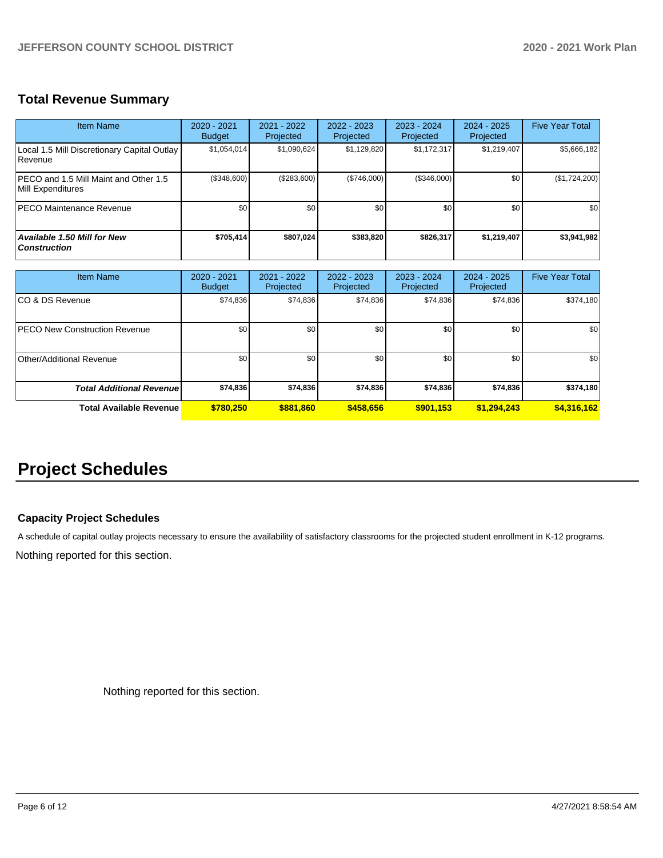## **Total Revenue Summary**

| <b>Item Name</b>                                           | $2020 - 2021$<br><b>Budget</b> | $2021 - 2022$<br>Projected | $2022 - 2023$<br>Projected | 2023 - 2024<br>Projected | $2024 - 2025$<br>Projected | <b>Five Year Total</b> |
|------------------------------------------------------------|--------------------------------|----------------------------|----------------------------|--------------------------|----------------------------|------------------------|
| Local 1.5 Mill Discretionary Capital Outlay<br>l Revenue   | \$1,054,014                    | \$1,090,624                | \$1,129,820                | \$1,172,317              | \$1,219,407                | \$5,666,182            |
| PECO and 1.5 Mill Maint and Other 1.5<br>Mill Expenditures | (\$348,600)                    | (\$283,600)                | (S746.000)                 | (\$346,000)              | \$0                        | (\$1,724,200)          |
| <b>PECO Maintenance Revenue</b>                            | \$0                            | \$0                        | \$0                        | \$0                      | \$0                        | \$0                    |
| <b>Available 1.50 Mill for New</b><br><b>Construction</b>  | \$705.414                      | \$807,024                  | \$383.820                  | \$826,317                | \$1,219,407                | \$3,941,982            |

| <b>Item Name</b>                     | $2020 - 2021$<br><b>Budget</b> | $2021 - 2022$<br>Projected | 2022 - 2023<br>Projected | 2023 - 2024<br>Projected | $2024 - 2025$<br>Projected | <b>Five Year Total</b> |
|--------------------------------------|--------------------------------|----------------------------|--------------------------|--------------------------|----------------------------|------------------------|
| ICO & DS Revenue                     | \$74,836                       | \$74,836                   | \$74,836                 | \$74,836                 | \$74,836                   | \$374,180              |
| <b>PECO New Construction Revenue</b> | \$0                            | \$0 <sub>1</sub>           | \$0                      | \$0                      | \$0                        | \$0                    |
| Other/Additional Revenue             | \$0 <sub>1</sub>               | \$0 <sub>1</sub>           | \$0                      | \$0                      | \$0                        | \$0                    |
| <b>Total Additional Revenuel</b>     | \$74,836                       | \$74,836                   | \$74,836                 | \$74,836                 | \$74,836                   | \$374,180              |
| Total Available Revenue              | \$780.250                      | \$881,860                  | \$458,656                | \$901,153                | \$1,294,243                | \$4,316,162            |

# **Project Schedules**

## **Capacity Project Schedules**

A schedule of capital outlay projects necessary to ensure the availability of satisfactory classrooms for the projected student enrollment in K-12 programs.

Nothing reported for this section.

Nothing reported for this section.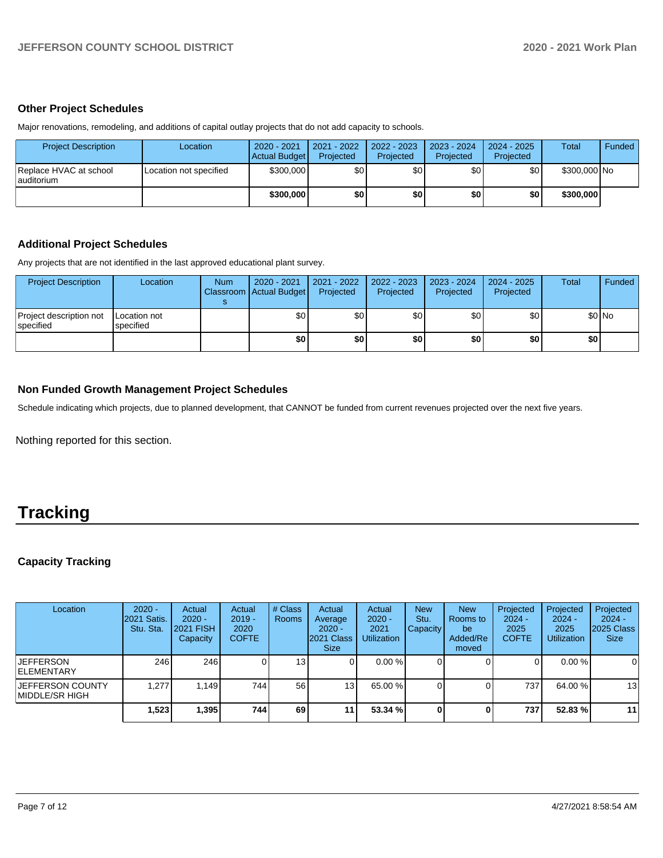### **Other Project Schedules**

Major renovations, remodeling, and additions of capital outlay projects that do not add capacity to schools.

| <b>Project Description</b>            | Location               | 2020 - 2021<br>Actual Budget | 2021 - 2022<br>Projected | 2022 - 2023<br>Projected | 2023 - 2024<br>Projected | $2024 - 2025$<br>Projected | Total        | <b>Funded</b> |
|---------------------------------------|------------------------|------------------------------|--------------------------|--------------------------|--------------------------|----------------------------|--------------|---------------|
| Replace HVAC at school<br>lauditorium | Location not specified | \$300,000                    | \$٥Ι                     | \$0                      | \$٥                      | \$0                        | \$300,000 No |               |
|                                       |                        | \$300,000                    | \$0                      | \$0                      | \$0 I                    | \$0                        | \$300,000    |               |

## **Additional Project Schedules**

Any projects that are not identified in the last approved educational plant survey.

| <b>Project Description</b>                   | Location                  | <b>Num</b> | 2020 - 2021<br>Classroom Actual Budget | 2021 - 2022<br>Projected | 2022 - 2023<br>Projected | 2023 - 2024<br>Projected | 2024 - 2025<br>Projected | Total | Funded  |
|----------------------------------------------|---------------------------|------------|----------------------------------------|--------------------------|--------------------------|--------------------------|--------------------------|-------|---------|
| Project description not<br><b>Ispecified</b> | Location not<br>specified |            | \$0                                    | \$0                      | \$0                      | \$0                      | \$0                      |       | $$0$ No |
|                                              |                           |            | \$0                                    | \$0                      | \$0                      | \$0                      | \$0                      | \$0   |         |

## **Non Funded Growth Management Project Schedules**

Schedule indicating which projects, due to planned development, that CANNOT be funded from current revenues projected over the next five years.

Nothing reported for this section.

# **Tracking**

## **Capacity Tracking**

| Location                                   | $2020 -$<br>2021 Satis.<br>Stu. Sta. | Actual<br>$2020 -$<br><b>2021 FISH</b><br>Capacity | Actual<br>$2019 -$<br>2020<br><b>COFTE</b> | # Class<br><b>Rooms</b> | Actual<br>Average<br>$2020 -$<br>2021 Class<br><b>Size</b> | Actual<br>$2020 -$<br>2021<br><b>Utilization</b> | <b>New</b><br>Stu.<br><b>Capacity</b> | <b>New</b><br>Rooms to<br>be<br>Added/Re<br>moved | Projected<br>$2024 -$<br>2025<br><b>COFTE</b> | Projected<br>$2024 -$<br>2025<br><b>Utilization</b> | Projected<br>$2024 -$<br>2025 Class<br><b>Size</b> |
|--------------------------------------------|--------------------------------------|----------------------------------------------------|--------------------------------------------|-------------------------|------------------------------------------------------------|--------------------------------------------------|---------------------------------------|---------------------------------------------------|-----------------------------------------------|-----------------------------------------------------|----------------------------------------------------|
| <b>JEFFERSON</b><br><b>IELEMENTARY</b>     | 246 l                                | 246                                                |                                            | 13 <sub>1</sub>         |                                                            | 0.00%                                            |                                       |                                                   | 0                                             | $0.00 \%$                                           | $\overline{0}$                                     |
| <b>JEFFERSON COUNTY</b><br>IMIDDLE/SR HIGH | .277                                 | 1,149                                              | 7441                                       | 56                      | 13 <sub>1</sub>                                            | 65.00 %                                          |                                       |                                                   | 737                                           | 64.00 %                                             | 13                                                 |
|                                            | 1,523                                | 1,395                                              | 744                                        | 69                      | 11 <sub>1</sub>                                            | 53.34 %                                          |                                       |                                                   | 737                                           | 52.83 %                                             | 11                                                 |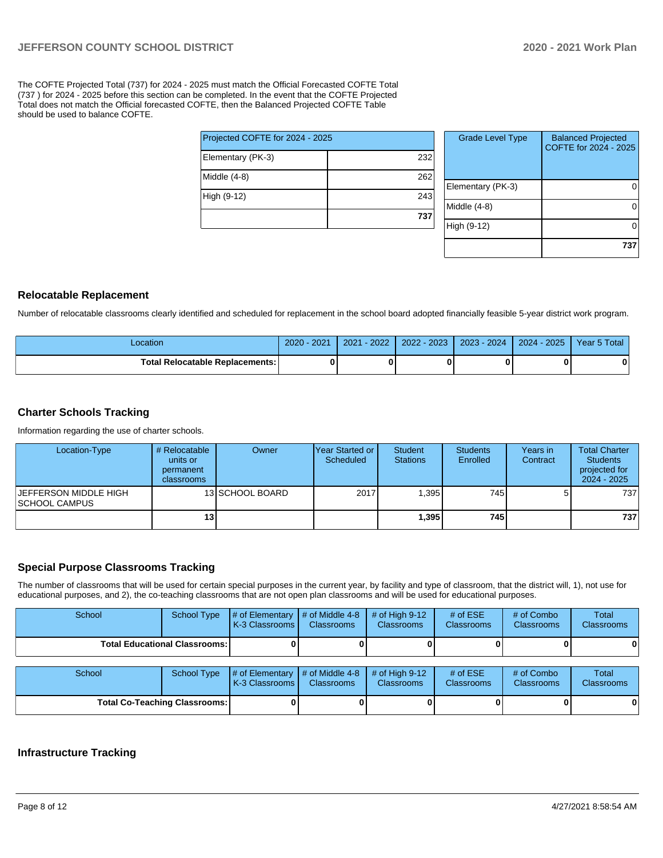The COFTE Projected Total (737) for 2024 - 2025 must match the Official Forecasted COFTE Total (737 ) for 2024 - 2025 before this section can be completed. In the event that the COFTE Projected Total does not match the Official forecasted COFTE, then the Balanced Projected COFTE Table should be used to balance COFTE.

| Projected COFTE for 2024 - 2025 |     |  |  |  |  |
|---------------------------------|-----|--|--|--|--|
| Elementary (PK-3)               | 232 |  |  |  |  |
| Middle (4-8)                    | 262 |  |  |  |  |
| High (9-12)                     | 243 |  |  |  |  |
|                                 | 737 |  |  |  |  |

| <b>Grade Level Type</b> | <b>Balanced Projected</b><br>COFTE for 2024 - 2025 |
|-------------------------|----------------------------------------------------|
| Elementary (PK-3)       |                                                    |
| Middle (4-8)            |                                                    |
| High (9-12)             |                                                    |
|                         | 73                                                 |

#### **Relocatable Replacement**

Number of relocatable classrooms clearly identified and scheduled for replacement in the school board adopted financially feasible 5-year district work program.

| Location                          | - 2021<br>$2020 -$ | $-2022'$<br>2021 | $2022 - 2023$ | 2023 - 2024 | $2024 - 2025$ | Year 5 Total |
|-----------------------------------|--------------------|------------------|---------------|-------------|---------------|--------------|
| Total Relocatable Replacements: I |                    |                  |               |             |               |              |

## **Charter Schools Tracking**

Information regarding the use of charter schools.

| Location-Type                                          | # Relocatable<br>units or<br>permanent<br>classrooms | Owner           | IYear Started or<br>Scheduled | <b>Student</b><br><b>Stations</b> | <b>Students</b><br>Enrolled | Years in<br>Contract | <b>Total Charter</b><br><b>Students</b><br>projected for<br>$2024 - 2025$ |
|--------------------------------------------------------|------------------------------------------------------|-----------------|-------------------------------|-----------------------------------|-----------------------------|----------------------|---------------------------------------------------------------------------|
| <b>IJEFFERSON MIDDLE HIGH</b><br><b>ISCHOOL CAMPUS</b> |                                                      | 13 SCHOOL BOARD | 2017                          | .395                              | 745 l                       |                      | 7371                                                                      |
|                                                        | 13 <sub>1</sub>                                      |                 |                               | 1,395                             | 745                         |                      | 737                                                                       |

## **Special Purpose Classrooms Tracking**

The number of classrooms that will be used for certain special purposes in the current year, by facility and type of classroom, that the district will, 1), not use for educational purposes, and 2), the co-teaching classrooms that are not open plan classrooms and will be used for educational purposes.

| School                                 | School Type | $\parallel$ # of Elementary $\parallel$ # of Middle 4-8 $\parallel$ # of High 9-12<br><b>K-3 Classrooms I</b> | <b>Classrooms</b> | <b>Classrooms</b> | # of $ESE$<br><b>Classrooms</b> | # of Combo<br><b>Classrooms</b> | Total<br><b>Classrooms</b> |
|----------------------------------------|-------------|---------------------------------------------------------------------------------------------------------------|-------------------|-------------------|---------------------------------|---------------------------------|----------------------------|
| <b>Total Educational Classrooms: I</b> |             |                                                                                                               |                   |                   |                                 |                                 | 0                          |

| School                               | School Type | $\parallel \#$ of Elementary $\parallel \#$ of Middle 4-8 $\parallel \#$ of High 9-12<br><b>K-3 Classrooms I</b> | <b>Classrooms</b> | <b>Classrooms</b> | # of $ESE$<br><b>Classrooms</b> | # of Combo<br>Classrooms | Total<br><b>Classrooms</b> |
|--------------------------------------|-------------|------------------------------------------------------------------------------------------------------------------|-------------------|-------------------|---------------------------------|--------------------------|----------------------------|
| <b>Total Co-Teaching Classrooms:</b> |             |                                                                                                                  |                   |                   |                                 |                          | 0                          |

#### **Infrastructure Tracking**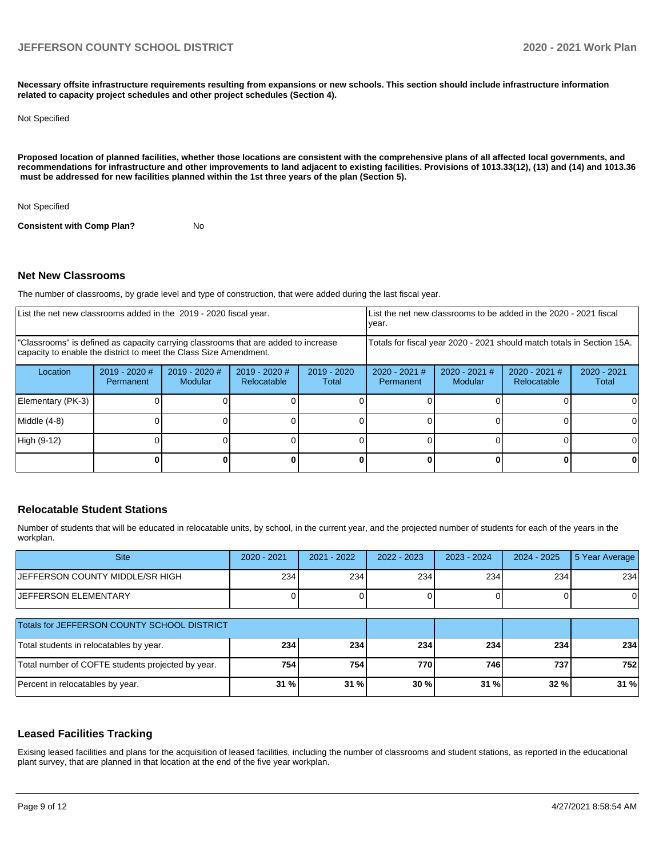**Necessary offsite infrastructure requirements resulting from expansions or new schools. This section should include infrastructure information related to capacity project schedules and other project schedules (Section 4).** 

#### Not Specified

**Proposed location of planned facilities, whether those locations are consistent with the comprehensive plans of all affected local governments, and recommendations for infrastructure and other improvements to land adjacent to existing facilities. Provisions of 1013.33(12), (13) and (14) and 1013.36 must be addressed for new facilities planned within the 1st three years of the plan (Section 5).** 

Not Specified

**Consistent with Comp Plan?** No

#### **Net New Classrooms**

The number of classrooms, by grade level and type of construction, that were added during the last fiscal year.

| List the net new classrooms added in the 2019 - 2020 fiscal year.                                                                                       |                              |                                   |                                |                        | List the net new classrooms to be added in the 2020 - 2021 fiscal<br>year. |                            |                                |                        |  |
|---------------------------------------------------------------------------------------------------------------------------------------------------------|------------------------------|-----------------------------------|--------------------------------|------------------------|----------------------------------------------------------------------------|----------------------------|--------------------------------|------------------------|--|
| "Classrooms" is defined as capacity carrying classrooms that are added to increase<br>capacity to enable the district to meet the Class Size Amendment. |                              |                                   |                                |                        | Totals for fiscal year 2020 - 2021 should match totals in Section 15A.     |                            |                                |                        |  |
| Location                                                                                                                                                | $2019 - 2020$ #<br>Permanent | $2019 - 2020$ #<br><b>Modular</b> | $2019 - 2020$ #<br>Relocatable | $2019 - 2020$<br>Total | $2020 - 2021$ #<br>Permanent                                               | $2020 - 2021$ #<br>Modular | $2020 - 2021$ #<br>Relocatable | $2020 - 2021$<br>Total |  |
| Elementary (PK-3)                                                                                                                                       |                              |                                   |                                |                        |                                                                            |                            |                                |                        |  |
| Middle (4-8)                                                                                                                                            |                              |                                   |                                |                        |                                                                            |                            |                                |                        |  |
| High (9-12)                                                                                                                                             |                              |                                   |                                |                        |                                                                            |                            |                                |                        |  |
|                                                                                                                                                         |                              |                                   |                                |                        |                                                                            |                            |                                |                        |  |

#### **Relocatable Student Stations**

Number of students that will be educated in relocatable units, by school, in the current year, and the projected number of students for each of the years in the workplan.

| <b>Site</b>                                       | $2020 - 2021$ | $2021 - 2022$ | 2022 - 2023 | $2023 - 2024$ | $2024 - 2025$ | 5 Year Average |
|---------------------------------------------------|---------------|---------------|-------------|---------------|---------------|----------------|
| JEFFERSON COUNTY MIDDLE/SR HIGH                   | 234           | 234           | 234         | 234           | 234           | 234            |
| <b>JEFFERSON ELEMENTARY</b>                       |               |               |             |               |               | 0              |
| Totals for JEFFERSON COUNTY SCHOOL DISTRICT       |               |               |             |               |               |                |
| Total students in relocatables by year.           | 234           | 234           | 234         | 234           | 234           | 234            |
| Total number of COFTE students projected by year. | 754           | 754           | 770         | 746           | 737           | 752            |
| Percent in relocatables by year.                  | 31 %          | 31 %          | 30%         | 31%           | 32 %          | 31 %           |

#### **Leased Facilities Tracking**

Exising leased facilities and plans for the acquisition of leased facilities, including the number of classrooms and student stations, as reported in the educational plant survey, that are planned in that location at the end of the five year workplan.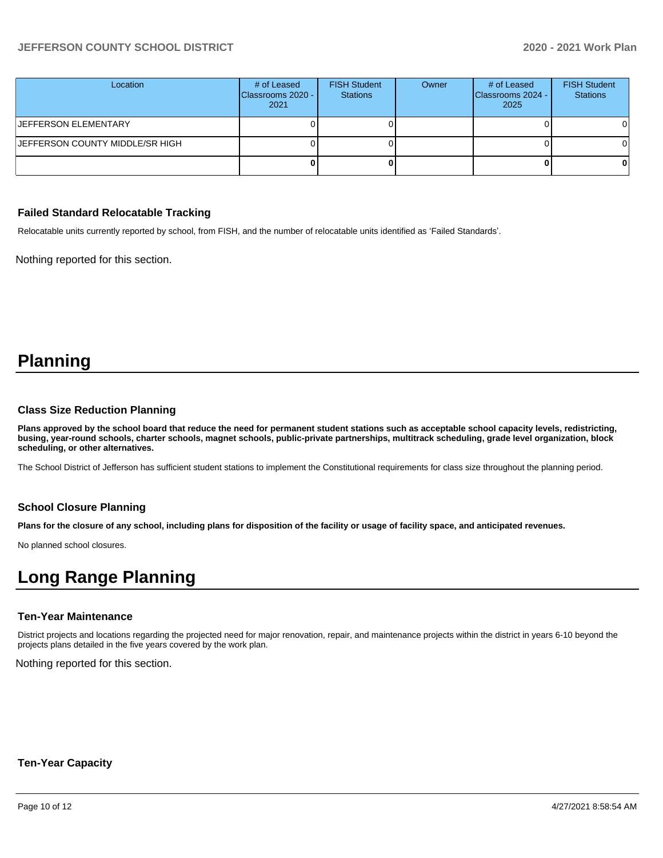## **JEFFERSON COUNTY SCHOOL DISTRICT 2020 - 2021 Work Plan**

| Location                               | # of Leased<br>Classrooms 2020 -<br>2021 | <b>FISH Student</b><br><b>Stations</b> | Owner | # of Leased<br>Classrooms 2024 -<br>2025 | <b>FISH Student</b><br><b>Stations</b> |
|----------------------------------------|------------------------------------------|----------------------------------------|-------|------------------------------------------|----------------------------------------|
| <b>JEFFERSON ELEMENTARY</b>            |                                          |                                        |       |                                          | ΟI                                     |
| <b>JEFFERSON COUNTY MIDDLE/SR HIGH</b> |                                          |                                        |       |                                          | ΟI                                     |
|                                        |                                          |                                        |       |                                          |                                        |

#### **Failed Standard Relocatable Tracking**

Relocatable units currently reported by school, from FISH, and the number of relocatable units identified as 'Failed Standards'.

Nothing reported for this section.

# **Planning**

#### **Class Size Reduction Planning**

**Plans approved by the school board that reduce the need for permanent student stations such as acceptable school capacity levels, redistricting, busing, year-round schools, charter schools, magnet schools, public-private partnerships, multitrack scheduling, grade level organization, block scheduling, or other alternatives.**

The School District of Jefferson has sufficient student stations to implement the Constitutional requirements for class size throughout the planning period.

#### **School Closure Planning**

**Plans for the closure of any school, including plans for disposition of the facility or usage of facility space, and anticipated revenues.** 

No planned school closures.

# **Long Range Planning**

#### **Ten-Year Maintenance**

District projects and locations regarding the projected need for major renovation, repair, and maintenance projects within the district in years 6-10 beyond the projects plans detailed in the five years covered by the work plan.

Nothing reported for this section.

#### **Ten-Year Capacity**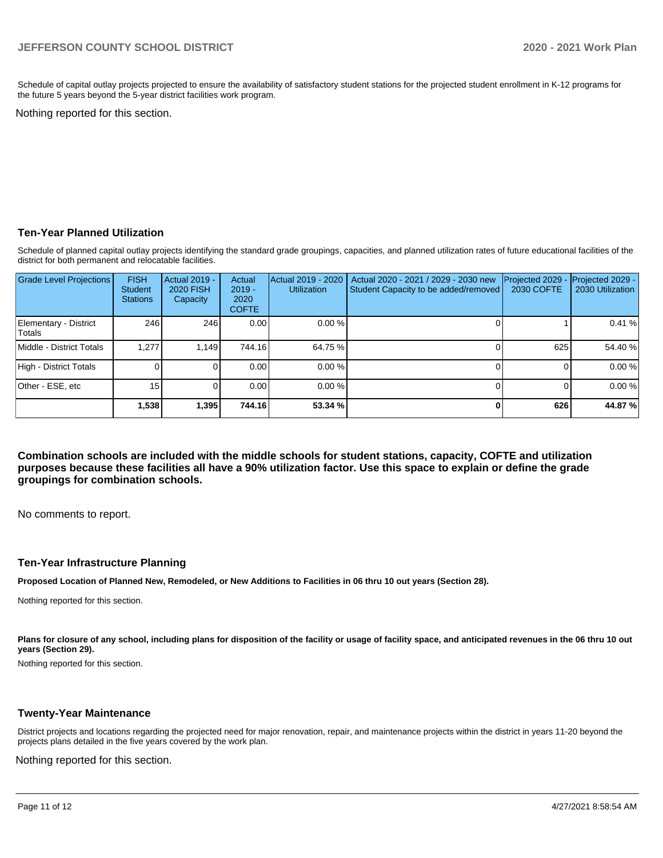Schedule of capital outlay projects projected to ensure the availability of satisfactory student stations for the projected student enrollment in K-12 programs for the future 5 years beyond the 5-year district facilities work program.

Nothing reported for this section.

#### **Ten-Year Planned Utilization**

Schedule of planned capital outlay projects identifying the standard grade groupings, capacities, and planned utilization rates of future educational facilities of the district for both permanent and relocatable facilities.

| <b>Grade Level Projections</b>   | <b>FISH</b><br>Student<br><b>Stations</b> | <b>Actual 2019 -</b><br><b>2020 FISH</b><br>Capacity | Actual<br>$2019 -$<br>2020<br><b>COFTE</b> | Actual 2019 - 2020<br><b>Utilization</b> | Actual 2020 - 2021 / 2029 - 2030 new<br>Student Capacity to be added/removed | Projected 2029<br>2030 COFTE | Projected 2029 -<br>2030 Utilization |
|----------------------------------|-------------------------------------------|------------------------------------------------------|--------------------------------------------|------------------------------------------|------------------------------------------------------------------------------|------------------------------|--------------------------------------|
| Elementary - District<br> Totals | 246                                       | 246                                                  | 0.00                                       | 0.00%                                    |                                                                              |                              | 0.41%                                |
| Middle - District Totals         | 1.277                                     | 1.149                                                | 744.16                                     | 64.75 %                                  |                                                                              | 625                          | 54.40 %                              |
| High - District Totals           |                                           |                                                      | 0.00                                       | 0.00%                                    |                                                                              |                              | 0.00%                                |
| Other - ESE, etc                 | 15 <sub>1</sub>                           |                                                      | 0.00                                       | 0.00%                                    |                                                                              |                              | 0.00%                                |
|                                  | 1,538                                     | 1.395                                                | 744.16                                     | 53.34 %                                  |                                                                              | 626                          | 44.87%                               |

**Combination schools are included with the middle schools for student stations, capacity, COFTE and utilization purposes because these facilities all have a 90% utilization factor. Use this space to explain or define the grade groupings for combination schools.** 

No comments to report.

#### **Ten-Year Infrastructure Planning**

**Proposed Location of Planned New, Remodeled, or New Additions to Facilities in 06 thru 10 out years (Section 28).**

Nothing reported for this section.

Plans for closure of any school, including plans for disposition of the facility or usage of facility space, and anticipated revenues in the 06 thru 10 out **years (Section 29).**

Nothing reported for this section.

#### **Twenty-Year Maintenance**

District projects and locations regarding the projected need for major renovation, repair, and maintenance projects within the district in years 11-20 beyond the projects plans detailed in the five years covered by the work plan.

Nothing reported for this section.